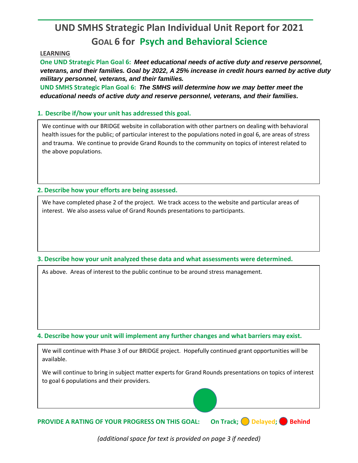## **UND SMHS Strategic Plan Individual Unit Report for 2021 GOAL 6 for Psych and Behavioral Science**

## **LEARNING**

**One UND Strategic Plan Goal 6:** *Meet educational needs of active duty and reserve personnel, veterans, and their families. Goal by 2022, A 25% increase in credit hours earned by active duty military personnel, veterans, and their families.*

**UND SMHS Strategic Plan Goal 6:** *The SMHS will determine how we may better meet the educational needs of active duty and reserve personnel, veterans, and their families.*

## **1. Describe if/how your unit has addressed this goal.**

We continue with our BRIDGE website in collaboration with other partners on dealing with behavioral health issues for the public; of particular interest to the populations noted in goal 6, are areas of stress and trauma. We continue to provide Grand Rounds to the community on topics of interest related to the above populations.

**2. Describe how your efforts are being assessed.** 

We have completed phase 2 of the project. We track access to the website and particular areas of interest. We also assess value of Grand Rounds presentations to participants.

**3. Describe how your unit analyzed these data and what assessments were determined.** 

As above. Areas of interest to the public continue to be around stress management.

**4. Describe how your unit will implement any further changes and what barriers may exist.**

We will continue with Phase 3 of our BRIDGE project. Hopefully continued grant opportunities will be available.

We will continue to bring in subject matter experts for Grand Rounds presentations on topics of interest to goal 6 populations and their providers.

**PROVIDE A RATING OF YOUR PROGRESS ON THIS GOAL: On Track; Delayed; Behind** 

*(additional space for text is provided on page 3 if needed)*